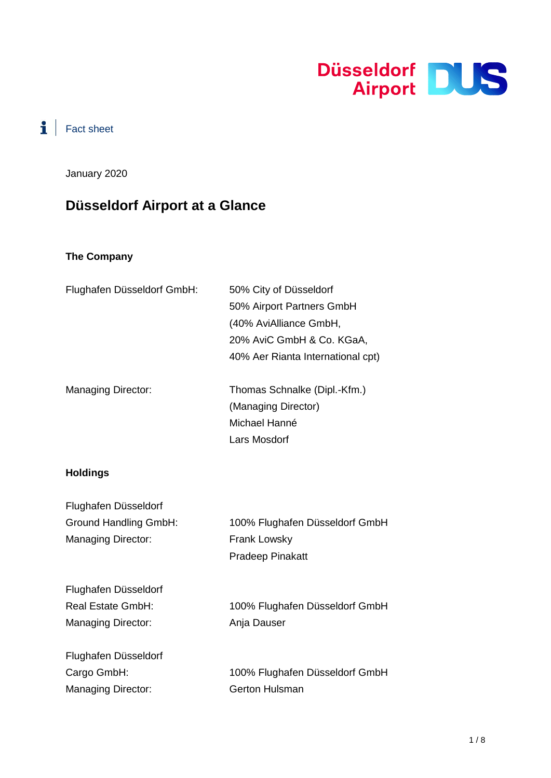

# $\mathbf{i}$  | Fact sheet

January 2020

# **Düsseldorf Airport at a Glance**

#### **The Company**

| Flughafen Düsseldorf GmbH: | 50% City of Düsseldorf            |
|----------------------------|-----------------------------------|
|                            | 50% Airport Partners GmbH         |
|                            | (40% AviAlliance GmbH,            |
|                            | 20% AviC GmbH & Co. KGaA,         |
|                            | 40% Aer Rianta International cpt) |
| <b>Managing Director:</b>  | Thomas Schnalke (Dipl.-Kfm.)      |
|                            | (Managing Director)               |
|                            | Michael Hanné                     |
|                            | Lars Mosdorf                      |
| <b>Holdings</b>            |                                   |

# **Holdings**

| Flughafen Düsseldorf         |                                |
|------------------------------|--------------------------------|
| <b>Ground Handling GmbH:</b> | 100% Flughafen Düsseldorf GmbH |
| <b>Managing Director:</b>    | <b>Frank Lowsky</b>            |
|                              | <b>Pradeep Pinakatt</b>        |
| Flughafen Düsseldorf         |                                |
| Real Estate GmbH:            | 100% Flughafen Düsseldorf GmbH |
| Managing Director:           | Anja Dauser                    |
| Flughafen Düsseldorf         |                                |
| Cargo GmbH:                  | 100% Flughafen Düsseldorf GmbH |
| <b>Managing Director:</b>    | <b>Gerton Hulsman</b>          |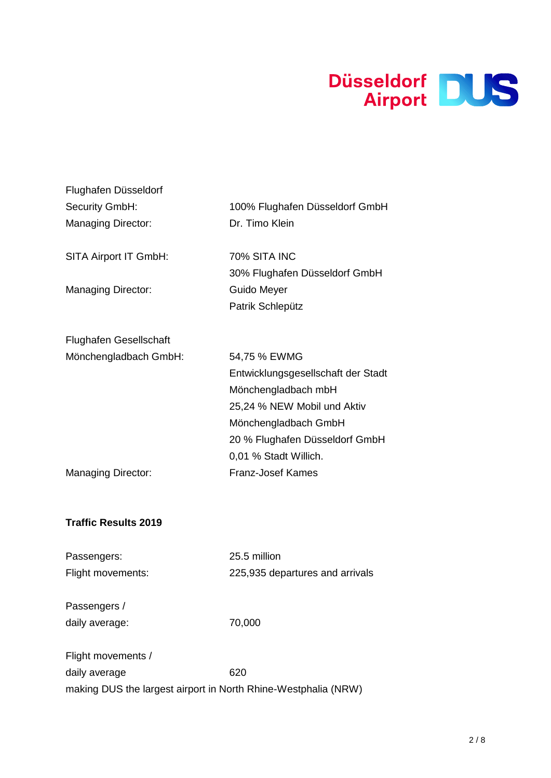

| Flughafen Düsseldorf          |                                               |
|-------------------------------|-----------------------------------------------|
| Security GmbH:                | 100% Flughafen Düsseldorf GmbH                |
| <b>Managing Director:</b>     | Dr. Timo Klein                                |
| SITA Airport IT GmbH:         | 70% SITA INC<br>30% Flughafen Düsseldorf GmbH |
| <b>Managing Director:</b>     | Guido Meyer                                   |
|                               | Patrik Schlepütz                              |
| <b>Flughafen Gesellschaft</b> |                                               |
| Mönchengladbach GmbH:         | 54,75 % EWMG                                  |
|                               | Entwicklungsgesellschaft der Stadt            |
|                               | Mönchengladbach mbH                           |
|                               | 25,24 % NEW Mobil und Aktiv                   |
|                               | Mönchengladbach GmbH                          |
|                               | 20 % Flughafen Düsseldorf GmbH                |
|                               | 0,01 % Stadt Willich.                         |
| <b>Managing Director:</b>     | <b>Franz-Josef Kames</b>                      |
|                               |                                               |
|                               |                                               |

### **Traffic Results 2019**

| Passengers:       |  |
|-------------------|--|
| Flight movements: |  |

25.5 million 225,935 departures and arrivals

Passengers / daily average:  $70,000$ 

| Flight movements /                                             |     |
|----------------------------------------------------------------|-----|
| daily average                                                  | 620 |
| making DUS the largest airport in North Rhine-Westphalia (NRW) |     |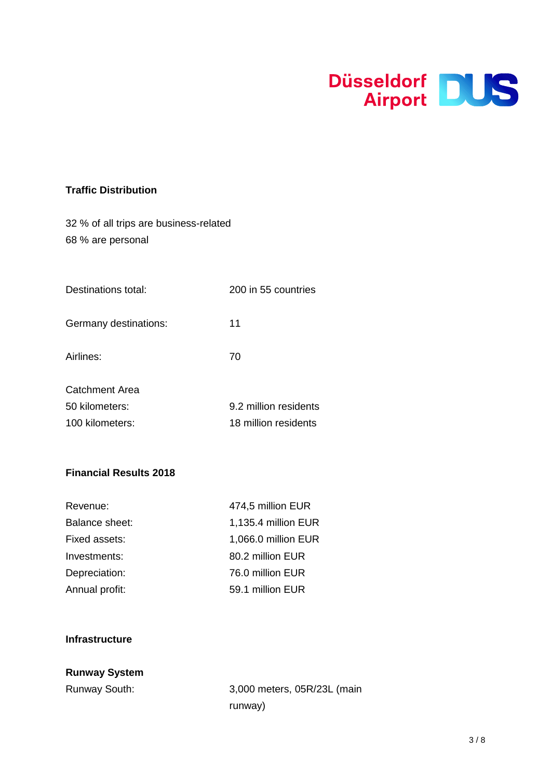

#### **Traffic Distribution**

|  | 32 % of all trips are business-related |  |  |
|--|----------------------------------------|--|--|
|  | 68 % are personal                      |  |  |

| Destinations total: | 200 in 55 countries |
|---------------------|---------------------|
|                     |                     |

Germany destinations: 11

Airlines: 70

| Catchment Area  |                       |
|-----------------|-----------------------|
| 50 kilometers:  | 9.2 million residents |
| 100 kilometers: | 18 million residents  |

#### **Financial Results 2018**

| Revenue:       | 474,5 million EUR   |
|----------------|---------------------|
| Balance sheet: | 1,135.4 million EUR |
| Fixed assets:  | 1,066.0 million EUR |
| Investments:   | 80.2 million EUR    |
| Depreciation:  | 76.0 million EUR    |
| Annual profit: | 59.1 million EUR    |

#### **Infrastructure**

# **Runway System**

Runway South: 3,000 meters, 05R/23L (main runway)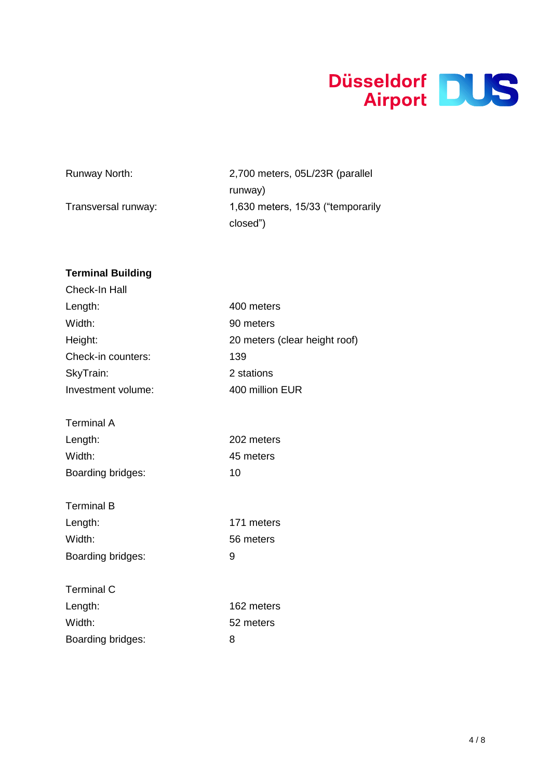

| Runway North:       | 2,700 meters, 05L/23R (parallel)   |
|---------------------|------------------------------------|
|                     | runway)                            |
| Transversal runway: | 1,630 meters, 15/33 ("temporarily" |
|                     | closed")                           |

| <b>Terminal Building</b> |                               |
|--------------------------|-------------------------------|
| Check-In Hall            |                               |
| Length:                  | 400 meters                    |
| Width:                   | 90 meters                     |
| Height:                  | 20 meters (clear height roof) |
| Check-in counters:       | 139                           |
| SkyTrain:                | 2 stations                    |
| Investment volume:       | 400 million EUR               |
|                          |                               |
| <b>Terminal A</b>        |                               |
| Length:                  | 202 meters                    |
| Width:                   | 45 meters                     |
| Boarding bridges:        | 10                            |
|                          |                               |
| <b>Terminal B</b>        |                               |
| Length:                  | 171 meters                    |
| Width:                   | 56 meters                     |
| Boarding bridges:        | 9                             |
|                          |                               |
| <b>Terminal C</b>        |                               |
| Length:                  | 162 meters                    |
| Width:                   | 52 meters                     |
| Boarding bridges:        | 8                             |
|                          |                               |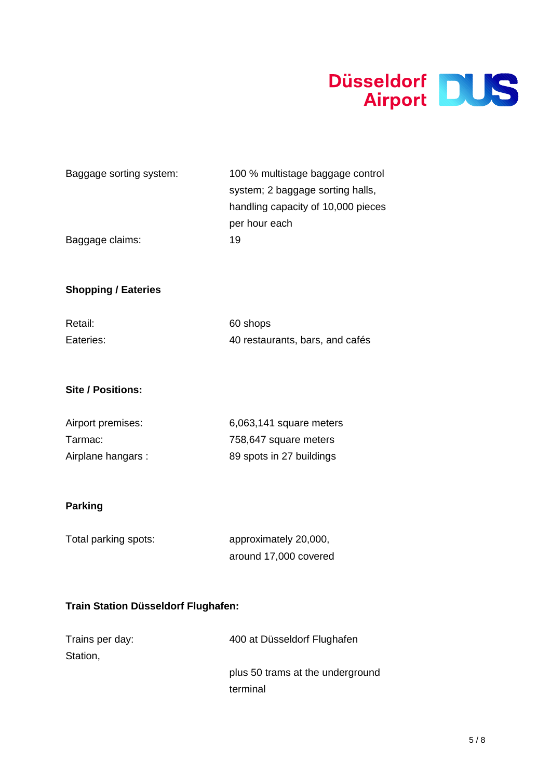

| Baggage sorting system: | 100 % multistage baggage control   |
|-------------------------|------------------------------------|
|                         | system; 2 baggage sorting halls,   |
|                         | handling capacity of 10,000 pieces |
|                         | per hour each                      |
| Baggage claims:         | 19                                 |

# **Shopping / Eateries**

| Retail:   | 60 shops                        |
|-----------|---------------------------------|
| Eateries: | 40 restaurants, bars, and cafés |

### **Site / Positions:**

| Airport premises:  | 6,063,141 square meters  |
|--------------------|--------------------------|
| Tarmac:            | 758,647 square meters    |
| Airplane hangars : | 89 spots in 27 buildings |

# **Parking**

| Total parking spots: | approximately 20,000, |  |
|----------------------|-----------------------|--|
|                      | around 17,000 covered |  |

### **Train Station Düsseldorf Flughafen:**

| Trains per day: | 400 at Düsseldorf Flughafen      |
|-----------------|----------------------------------|
| Station,        |                                  |
|                 | plus 50 trams at the underground |
|                 | terminal                         |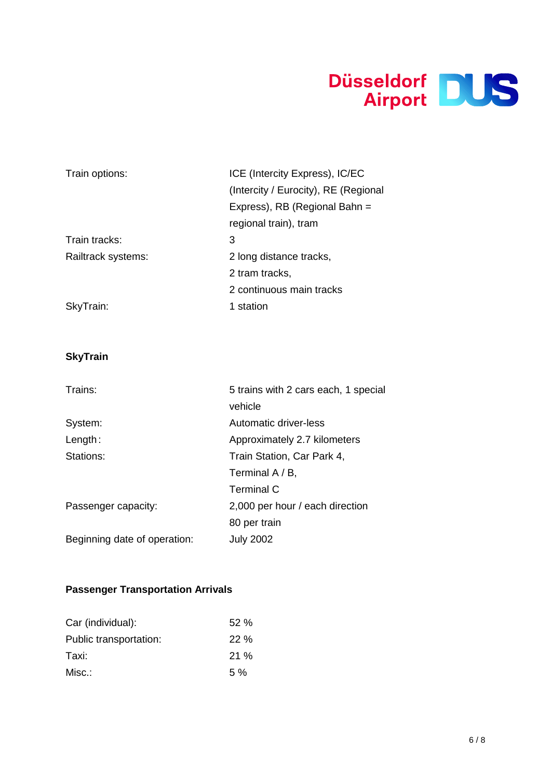

| Train options:     | ICE (Intercity Express), IC/EC       |  |
|--------------------|--------------------------------------|--|
|                    | (Intercity / Eurocity), RE (Regional |  |
|                    | Express), RB (Regional Bahn =        |  |
|                    | regional train), tram                |  |
| Train tracks:      | 3                                    |  |
| Railtrack systems: | 2 long distance tracks,              |  |
|                    | 2 tram tracks,                       |  |
|                    | 2 continuous main tracks             |  |
| SkyTrain:          | 1 station                            |  |

# **SkyTrain**

| Trains:                      | 5 trains with 2 cars each, 1 special |
|------------------------------|--------------------------------------|
|                              | vehicle                              |
| System:                      | Automatic driver-less                |
| Length:                      | Approximately 2.7 kilometers         |
| Stations:                    | Train Station, Car Park 4,           |
|                              | Terminal $A/B$ ,                     |
|                              | Terminal C                           |
| Passenger capacity:          | 2,000 per hour / each direction      |
|                              | 80 per train                         |
| Beginning date of operation: | <b>July 2002</b>                     |

# **Passenger Transportation Arrivals**

| Car (individual):      | 52%   |
|------------------------|-------|
| Public transportation: | 22%   |
| Taxi:                  | 21%   |
| Misc.:                 | $5\%$ |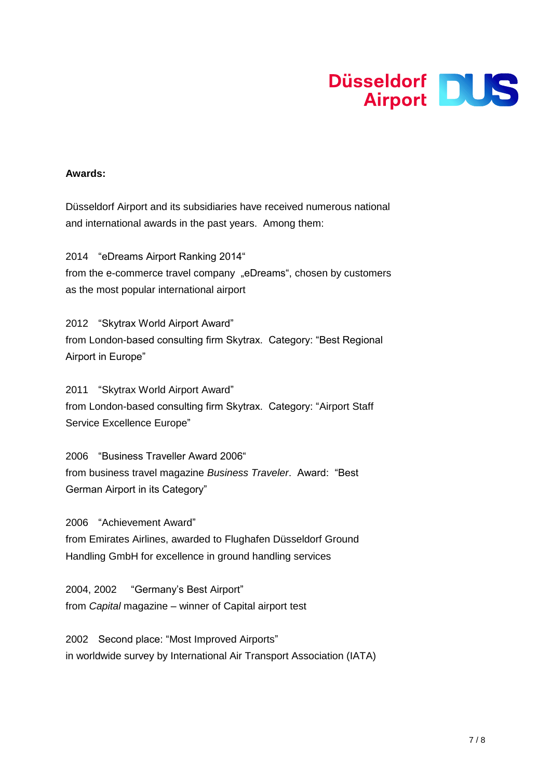

#### **Awards:**

Düsseldorf Airport and its subsidiaries have received numerous national and international awards in the past years. Among them:

2014 "eDreams Airport Ranking 2014" from the e-commerce travel company "eDreams", chosen by customers as the most popular international airport

2012 "Skytrax World Airport Award" from London-based consulting firm Skytrax. Category: "Best Regional Airport in Europe"

2011 "Skytrax World Airport Award" from London-based consulting firm Skytrax. Category: "Airport Staff Service Excellence Europe"

2006 "Business Traveller Award 2006" from business travel magazine *Business Traveler*. Award: "Best German Airport in its Category"

2006 "Achievement Award" from Emirates Airlines, awarded to Flughafen Düsseldorf Ground Handling GmbH for excellence in ground handling services

2004, 2002 "Germany's Best Airport" from *Capital* magazine – winner of Capital airport test

2002 Second place: "Most Improved Airports" in worldwide survey by International Air Transport Association (IATA)